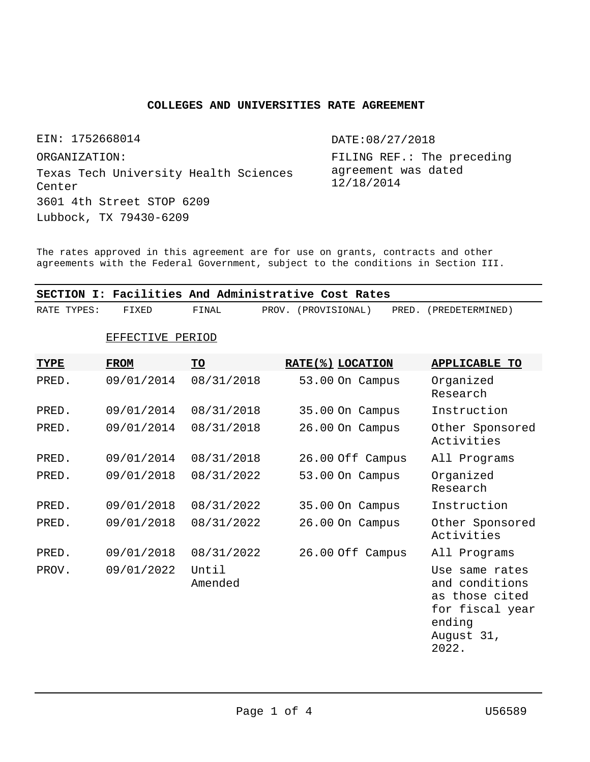## **COLLEGES AND UNIVERSITIES RATE AGREEMENT**

EIN: 1752668014 Texas Tech University Health Sciences Center Lubbock, TX 79430-6209 ORGANIZATION: 3601 4th Street STOP 6209

DATE:08/27/2018

FILING REF.: The preceding agreement was dated 12/18/2014

The rates approved in this agreement are for use on grants, contracts and other agreements with the Federal Government, subject to the conditions in Section III.

|             |                  |                  | SECTION I: Facilities And Administrative Cost Rates |                                                                                                        |
|-------------|------------------|------------------|-----------------------------------------------------|--------------------------------------------------------------------------------------------------------|
| RATE TYPES: | FIXED            | FINAL            | PROV. (PROVISIONAL)                                 | PRED. (PREDETERMINED)                                                                                  |
|             | EFFECTIVE PERIOD |                  |                                                     |                                                                                                        |
| <b>TYPE</b> | <b>FROM</b>      | TO               | RATE(%) LOCATION                                    | <b>APPLICABLE TO</b>                                                                                   |
| PRED.       | 09/01/2014       | 08/31/2018       | 53.00 On Campus                                     | Organized<br>Research                                                                                  |
| PRED.       | 09/01/2014       | 08/31/2018       | 35.00 On Campus                                     | Instruction                                                                                            |
| PRED.       | 09/01/2014       | 08/31/2018       | 26.00 On Campus                                     | Other Sponsored<br>Activities                                                                          |
| PRED.       | 09/01/2014       | 08/31/2018       | 26.00 Off Campus                                    | All Programs                                                                                           |
| PRED.       | 09/01/2018       | 08/31/2022       | 53.00 On Campus                                     | Organized<br>Research                                                                                  |
| PRED.       | 09/01/2018       | 08/31/2022       | 35.00 On Campus                                     | Instruction                                                                                            |
| PRED.       | 09/01/2018       | 08/31/2022       | 26.00 On Campus                                     | Other Sponsored<br>Activities                                                                          |
| PRED.       | 09/01/2018       | 08/31/2022       | 26.00 Off Campus                                    | All Programs                                                                                           |
| PROV.       | 09/01/2022       | Until<br>Amended |                                                     | Use same rates<br>and conditions<br>as those cited<br>for fiscal year<br>ending<br>August 31,<br>2022. |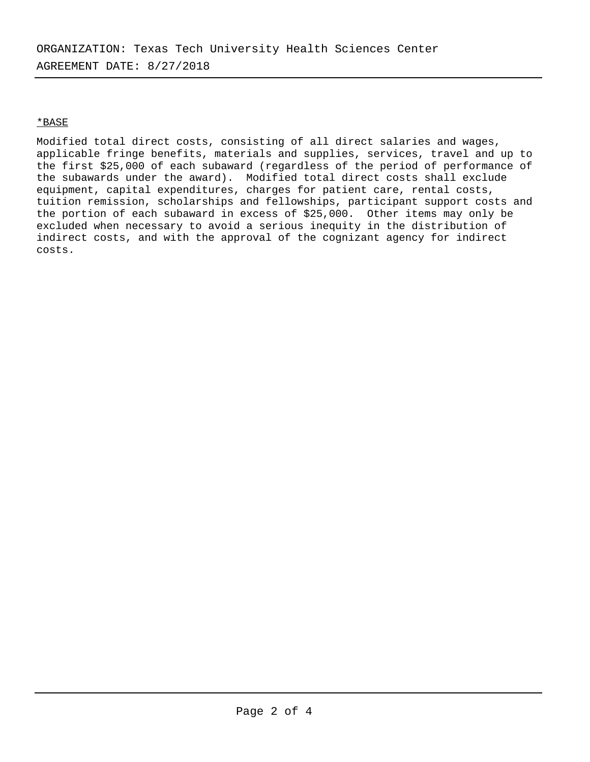## \*BASE

Modified total direct costs, consisting of all direct salaries and wages, applicable fringe benefits, materials and supplies, services, travel and up to the first \$25,000 of each subaward (regardless of the period of performance of the subawards under the award). Modified total direct costs shall exclude equipment, capital expenditures, charges for patient care, rental costs, tuition remission, scholarships and fellowships, participant support costs and the portion of each subaward in excess of \$25,000. Other items may only be excluded when necessary to avoid a serious inequity in the distribution of indirect costs, and with the approval of the cognizant agency for indirect costs.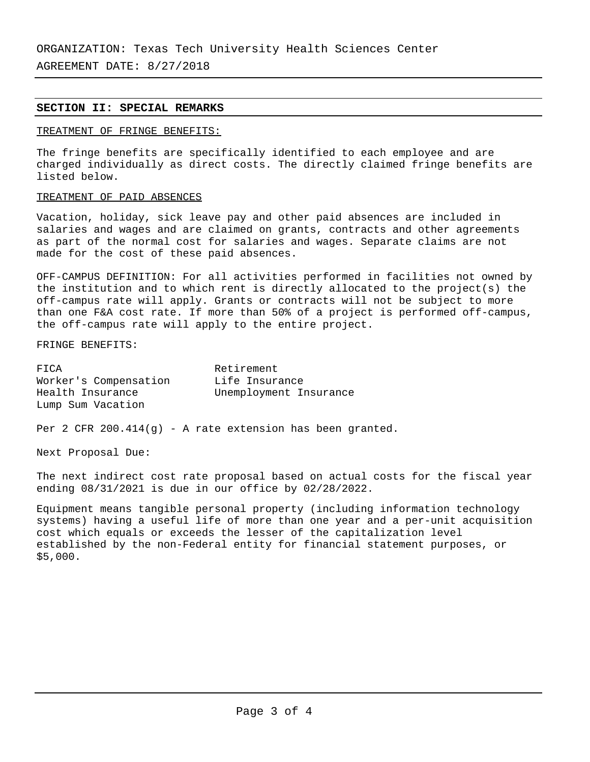AGREEMENT DATE: 8/27/2018

## **SECTION II: SPECIAL REMARKS**

## TREATMENT OF FRINGE BENEFITS:

The fringe benefits are specifically identified to each employee and are charged individually as direct costs. The directly claimed fringe benefits are listed below.

## TREATMENT OF PAID ABSENCES

Vacation, holiday, sick leave pay and other paid absences are included in salaries and wages and are claimed on grants, contracts and other agreements as part of the normal cost for salaries and wages. Separate claims are not made for the cost of these paid absences.

OFF-CAMPUS DEFINITION: For all activities performed in facilities not owned by the institution and to which rent is directly allocated to the project(s) the off-campus rate will apply. Grants or contracts will not be subject to more than one F&A cost rate. If more than 50% of a project is performed off-campus, the off-campus rate will apply to the entire project.

FRINGE BENEFITS:

| FICA                  | Retirement             |
|-----------------------|------------------------|
| Worker's Compensation | Life Insurance         |
| Health Insurance      | Unemployment Insurance |
| Lump Sum Vacation     |                        |

Per 2 CFR 200.414 $(g)$  - A rate extension has been granted.

Next Proposal Due:

The next indirect cost rate proposal based on actual costs for the fiscal year ending 08/31/2021 is due in our office by 02/28/2022.

Equipment means tangible personal property (including information technology systems) having a useful life of more than one year and a per-unit acquisition cost which equals or exceeds the lesser of the capitalization level established by the non-Federal entity for financial statement purposes, or \$5,000.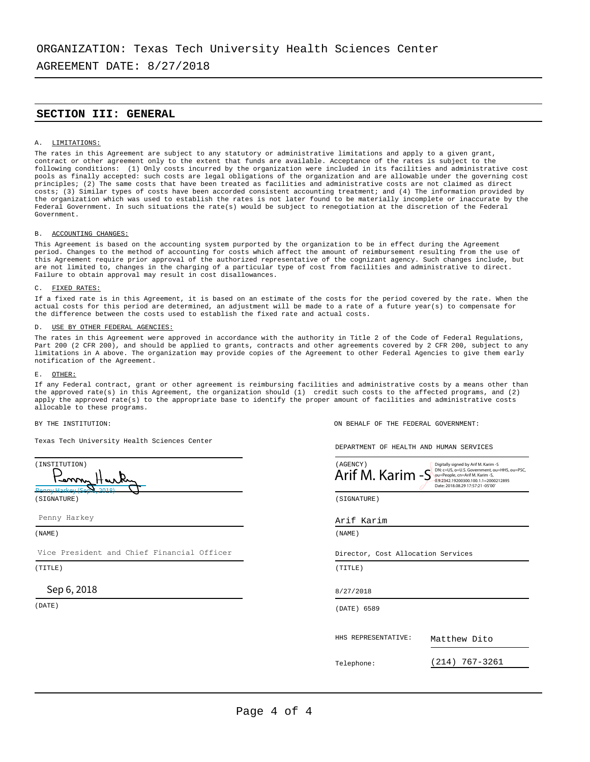AGREEMENT DATE: 8/27/2018

## **SECTION III: GENERAL**

#### A. LIMITATIONS:

The rates in this Agreement are subject to any statutory or administrative limitations and apply to a given grant,<br>contract or other agreement only to the extent that funds are available. Acceptance of the rates is subject following conditions: (1) Only costs incurred by the organization were included in its facilities and administrative cost pools as finally accepted: such costs are legal obligations of the organization and are allowable under the governing cost principles; (2) The same costs that have been treated as facilities and administrative costs are not claimed as direct costs; (3) Similar types of costs have been accorded consistent accounting treatment; and (4) The information provided by the organization which was used to establish the rates is not later found to be materially incomplete or inaccurate by the Federal Government. In such situations the rate(s) would be subject to renegotiation at the discretion of the Federal Government.

### B. ACCOUNTING CHANGES:

This Agreement is based on the accounting system purported by the organization to be in effect during the Agreement period. Changes to the method of accounting for costs which affect the amount of reimbursement resulting from the use of this Agreement require prior approval of the authorized representative of the cognizant agency. Such changes include, but are not limited to, changes in the charging of a particular type of cost from facilities and administrative to direct. Failure to obtain approval may result in cost disallowances.

#### C. FIXED RATES:

If a fixed rate is in this Agreement, it is based on an estimate of the costs for the period covered by the rate. When the actual costs for this period are determined, an adjustment will be made to a rate of a future year(s) to compensate for the difference between the costs used to establish the fixed rate and actual costs.

#### USE BY OTHER FEDERAL AGENCIES:

The rates in this Agreement were approved in accordance with the authority in Title 2 of the Code of Federal Regulations, Part 200 (2 CFR 200), and should be applied to grants, contracts and other agreements covered by 2 CFR 200, subject to any limitations in A above. The organization may provide copies of the Agreement to other Federal Agencies to give them early notification of the Agreement.

#### E. OTHER:

If any Federal contract, grant or other agreement is reimbursing facilities and administrative costs by a means other than the approved rate(s) in this Agreement, the organization should (1) credit such costs to the affected programs, and (2) apply the approved rate(s) to the appropriate base to identify the proper amount of facilities and administrative costs allocable to these programs.

Texas Tech University Health Sciences Center

| (INSTITUTION)<br>in my Harky | (AGENCY)<br>Arif M<br>'VI. |
|------------------------------|----------------------------|
| 1000 0. 2010<br>(SIGNATURE)  | (SIGNATURE)                |

Penny Harkey

Vice President and Chief Financial Officer

(TITLE) (TITLE)

## Sep 6, 2018

BY THE INSTITUTION: ON BEHALF OF THE FEDERAL GOVERNMENT:

DEPARTMENT OF HEALTH AND HUMAN SERVICES



#### Arif Karim

(NAME) (NAME)

Director, Cost Allocation Services

8/27/2018

(DATE) (DATE) 6589

HHS REPRESENTATIVE:

Matthew Dito

Telephone:

(214) 767-3261